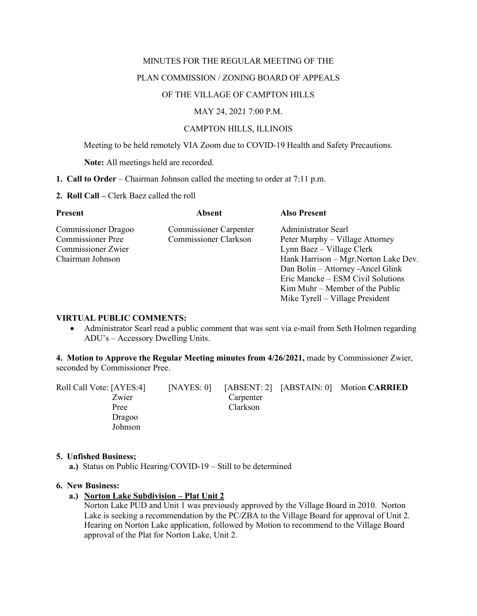#### MINUTES FOR THE REGULAR MEETING OF THE

# PLAN COMMISSION / ZONING BOARD OF APPEALS

# OF THE VILLAGE OF CAMPTON HILLS

### MAY 24, 2021 7:00 P.M.

# CAMPTON HILLS, ILLINOIS

Meeting to be held remotely VIA Zoom due to COVID-19 Health and Safety Precautions.

**Note:** All meetings held are recorded.

- **1. Call to Order** Chairman Johnson called the meeting to order at 7:11 p.m.
- **2. Roll Call –** Clerk Baez called the roll

| <b>Present</b>             | <b>Absent</b>                 | <b>Also Present</b>                   |
|----------------------------|-------------------------------|---------------------------------------|
| <b>Commissioner Dragoo</b> | <b>Commissioner Carpenter</b> | <b>Administrator Searl</b>            |
| <b>Commissioner Pree</b>   | Commissioner Clarkson         | Peter Murphy – Village Attorney       |
| Commissioner Zwier         |                               | Lynn Baez – Village Clerk             |
| Chairman Johnson           |                               | Hank Harrison – Mgr. Norton Lake Dev. |
|                            |                               | Dan Bolin - Attorney - Ancel Glink    |
|                            |                               | Eric Mancke – ESM Civil Solutions     |
|                            |                               | $Kim Muhr - Member of the Public$     |
|                            |                               | Mike Tyrell – Village President       |

# **VIRTUAL PUBLIC COMMENTS:**

• Administrator Searl read a public comment that was sent via e-mail from Seth Holmen regarding ADU's – Accessory Dwelling Units.

**4. Motion to Approve the Regular Meeting minutes from 4/26/2021,** made by Commissioner Zwier, seconded by Commissioner Pree.

| Roll Call Vote: [AYES:4] | [NAYES: 0] |           | [ABSENT: 2] [ABSTAIN: 0] Motion CARRIED |
|--------------------------|------------|-----------|-----------------------------------------|
| Zwier                    |            | Carpenter |                                         |
| Pree                     |            | Clarkson  |                                         |
| Dragoo                   |            |           |                                         |
| Johnson                  |            |           |                                         |

#### **5. Unfished Business;**

 **a.)** Status on Public Hearing/COVID-19 – Still to be determined

#### **6. New Business:**

# **a.) Norton Lake Subdivision – Plat Unit 2**

Norton Lake PUD and Unit 1 was previously approved by the Village Board in 2010. Norton Lake is seeking a recommendation by the PC/ZBA to the Village Board for approval of Unit 2. Hearing on Norton Lake application, followed by Motion to recommend to the Village Board approval of the Plat for Norton Lake, Unit 2.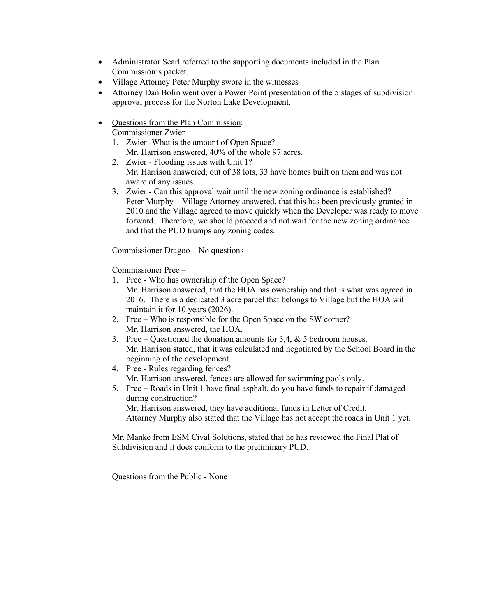- Administrator Searl referred to the supporting documents included in the Plan Commission's packet.
- Village Attorney Peter Murphy swore in the witnesses
- Attorney Dan Bolin went over a Power Point presentation of the 5 stages of subdivision approval process for the Norton Lake Development.
- Questions from the Plan Commission:

Commissioner Zwier –

- 1. Zwier -What is the amount of Open Space? Mr. Harrison answered, 40% of the whole 97 acres.
- 2. Zwier Flooding issues with Unit 1? Mr. Harrison answered, out of 38 lots, 33 have homes built on them and was not aware of any issues.
- 3. Zwier Can this approval wait until the new zoning ordinance is established? Peter Murphy – Village Attorney answered, that this has been previously granted in 2010 and the Village agreed to move quickly when the Developer was ready to move forward. Therefore, we should proceed and not wait for the new zoning ordinance and that the PUD trumps any zoning codes.

Commissioner Dragoo – No questions

Commissioner Pree –

- 1. Pree Who has ownership of the Open Space? Mr. Harrison answered, that the HOA has ownership and that is what was agreed in 2016. There is a dedicated 3 acre parcel that belongs to Village but the HOA will maintain it for 10 years (2026).
- 2. Pree Who is responsible for the Open Space on the SW corner? Mr. Harrison answered, the HOA.
- 3. Pree Questioned the donation amounts for 3,4, & 5 bedroom houses. Mr. Harrison stated, that it was calculated and negotiated by the School Board in the beginning of the development.
- 4. Pree Rules regarding fences? Mr. Harrison answered, fences are allowed for swimming pools only.
- 5. Pree Roads in Unit 1 have final asphalt, do you have funds to repair if damaged during construction? Mr. Harrison answered, they have additional funds in Letter of Credit. Attorney Murphy also stated that the Village has not accept the roads in Unit 1 yet.

Mr. Manke from ESM Cival Solutions, stated that he has reviewed the Final Plat of Subdivision and it does conform to the preliminary PUD.

Questions from the Public - None